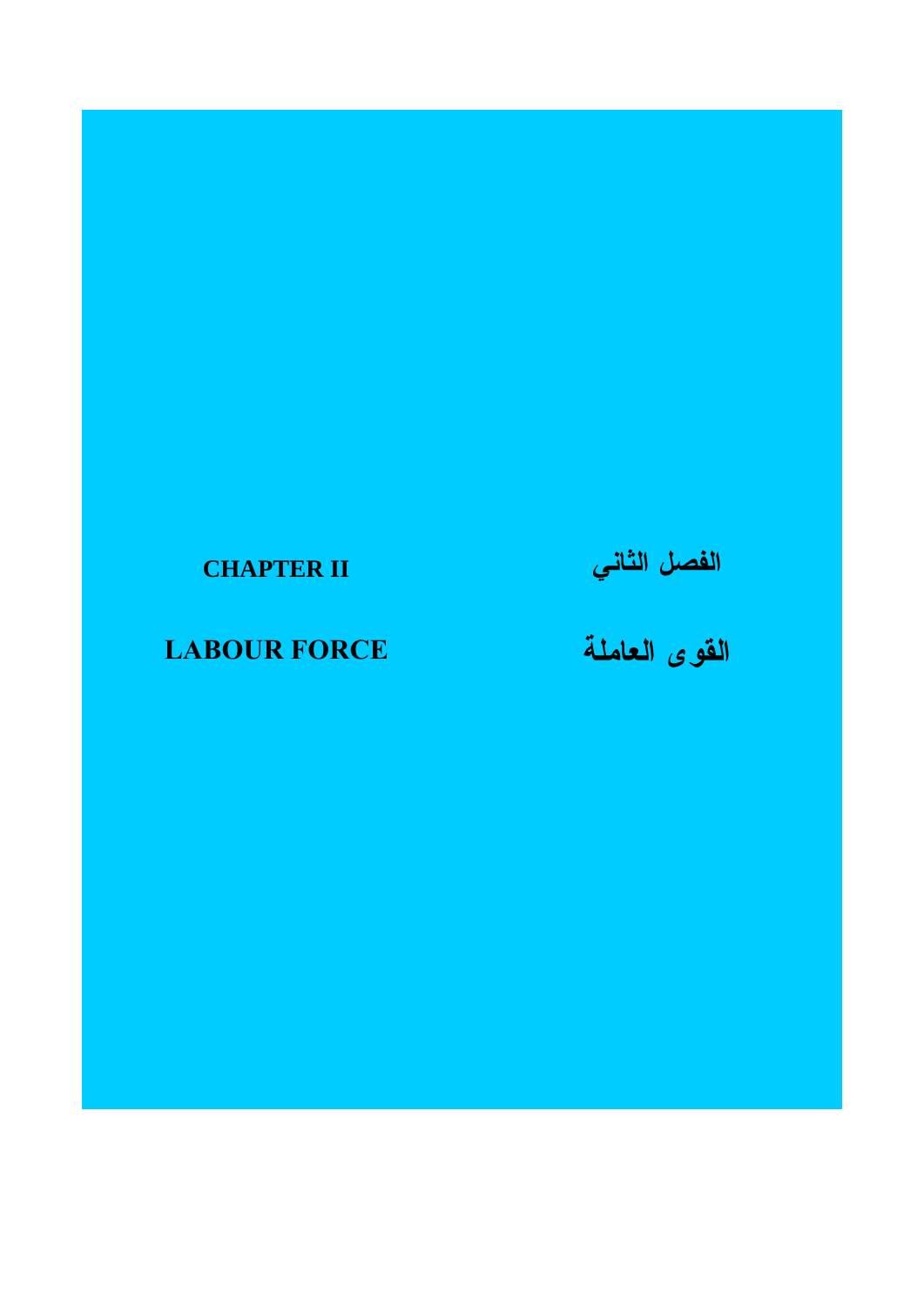# **CHAPTER II**

# **LABOUR FORCE**

# الفصل الثان*ي*<br>الفو ى العاملة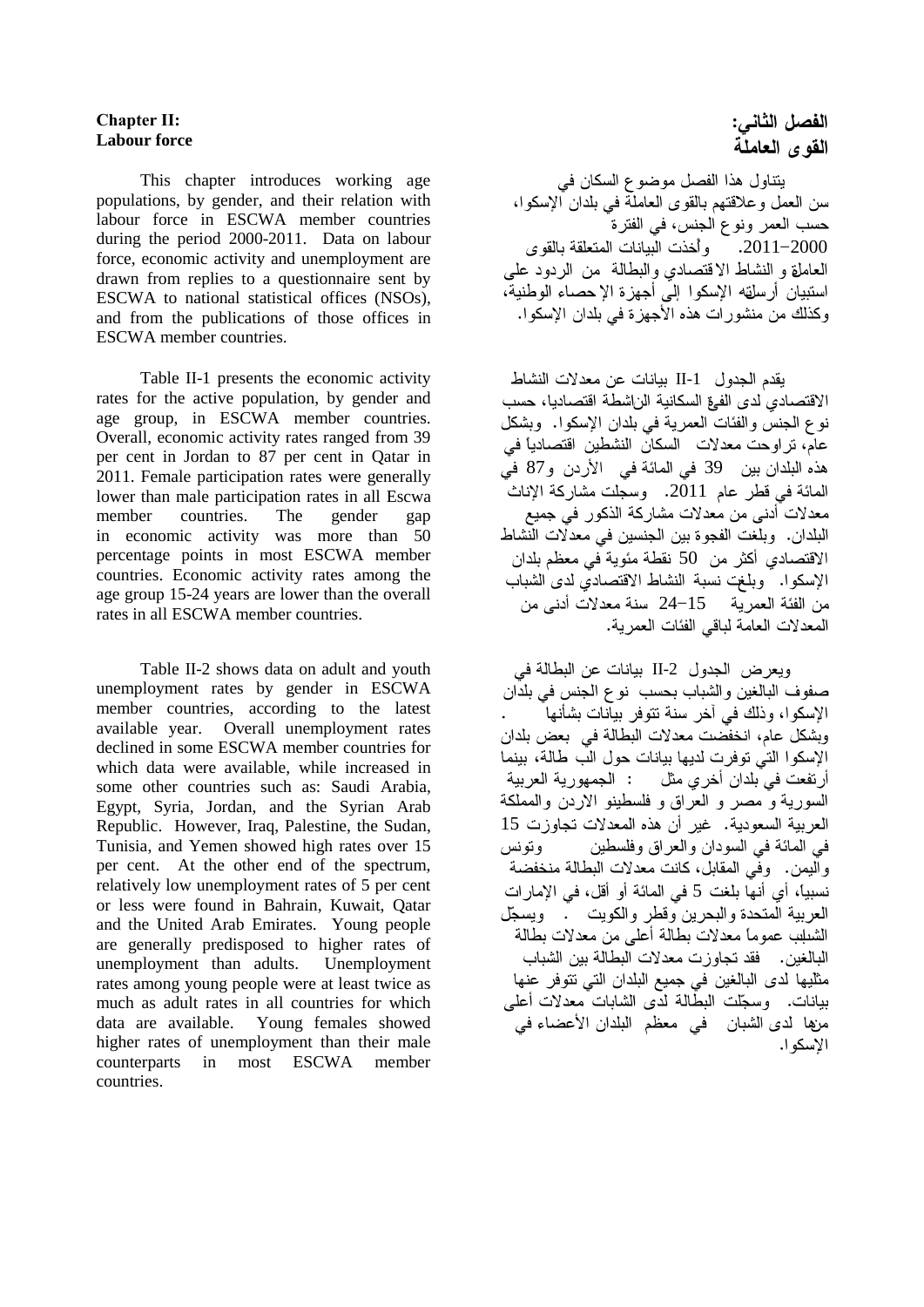#### **Chapter II: Labour force**

This chapter introduces working age populations, by gender, and their relation with labour force in ESCWA member countries during the period 2000 -2011. Data on labour force, economic activity and unemployment are drawn from replies to a questionnaire sent by ESCWA to national statistical offices (NSOs), and from the publications of those offices in ESCWA member countries.

Table II -1 presents the economic activity rates for the active population, by gender and age group, in ESCWA member countries. Overall, economic activity rates ranged from 39 per cent in Jordan to 87 per cent in Qatar in 201 1 . Female participation rates were generally lower than male participation rates in all Escwa member countries. The gender gap in economic activity was more than 50 percentage points in most ESCWA member countries. Economic activity rates among the age group 15 -24 years are lower than the overall rates in all ESCWA member countries.

Table II -2 shows data on adult and youth unemployment rates by gender in ESCWA member countries, according to the latest available year. Overall unemployment rates declined in some ESCWA member countries for which data were available, while increased in some other countries such as: Saudi Arabia, Egypt, Syria, Jordan, and the Syrian Arab Republic. However, Iraq, Palestine, the Sudan, Tunisia, and Yemen showed high rates over 15 per cent. At the other end of the spectrum, relatively low unemployment rates of 5 per cent or less were found in Bahrain, Kuwait, Qatar and the United Arab Emirates. Young people are generally predisposed to higher rates of unemployment than adults. Unemployment rates among young people were at least twice as much as adult rates in all countries for which data are available. Young females showed higher rates of unemployment than their male counterparts in most ESCWA member countries.

## الفصل الثاني: القوى العاملة

يتناول هذا الفصل موضوع السكان في<br>سن العمل وعلاقتهم بالقوى العاملة في بلدان الإسكوا، حسب العمر ونو ع الجنس، في الفتر ة ً 2011–2010. وأخذت البيانات المتعلقة بالقوى العاملة و النشاط الاقتصادي والبطالة ً من الردود علمي استبيان أرسلقه الإسكوا إلى أجهزة الإحصاء الوطنية، وكذلك من منشورات هذه الأجهزة في بلدان الإسكوا.

 $II-1$ الاقتصادي لدى الفرة السكانية الراشطة اقتصاديا، حسب نوع الجنس والفئات العمرية في بلدان الإسكوا. وبشكل عام، تراوحت معدلات السكان النشطين اقتصادياً في هذه البلدان بين 39 في المائة في الأردن و87 في 201 1 معدلات أدنى من معدلات مشاركة الذكور في جميع البلدان. وبلغت الفجوة بين الجنسين في معدلًات النّشاط الاقتصادي أكثر من 50 نقطة مئوية في معظم بلدان الإسكوا. " وبلغت نسبة النشاط الاقتصادي لدى الشباب  $\sim$  من الفئة العمر بة  $-15$   $-24$  سنة معدلات أدنى من المعدلات العامة لباقي الفئات العمر بة.

 $II-2$ صفوف البالغين والشباب بحسب نوع الجنس في بلدَّان الإسكوا، وذلك في آخر سنة تتوفر بيآنات بشأنها ً وبشكل عام، انخفضت معدلات البطالة في بعض بلدان الإسكوا التي توفرت لديها بيانات حول الب طالة، بينما أرتفعت في بلدان أخري مثل : الجمهورية العربية السورية و مصر و العراق و فلسطينو الاردن والمملكة العربية السعودية. غير أن هذه المعدلات تجاوزت 15 في المائة في السودان والعراق وفلسطين وتونس واليمن. وفي المقابل، كانت معدلات البطالة منخفضة نسبياً، أي أنها بلغت 5 في المائة أو أقل، في الإمارات<br>العربية المتحدة والبحرين وقطر والكويت . ويسجّل الشبلب عموماً معدلات بطالة أعلى من معدلات بطالة البالغين. فقد تجاوزت معدلات البطالة بين الشباب مثليها لدى البالغين في جميع البلدان التي نتوفر عنها بيانات. وسجّلت البطّالة لدى الشّابات معدلات أعلى مزها لدى الشبان ً في معظم البلدان الأعضاء في الاسكو ا.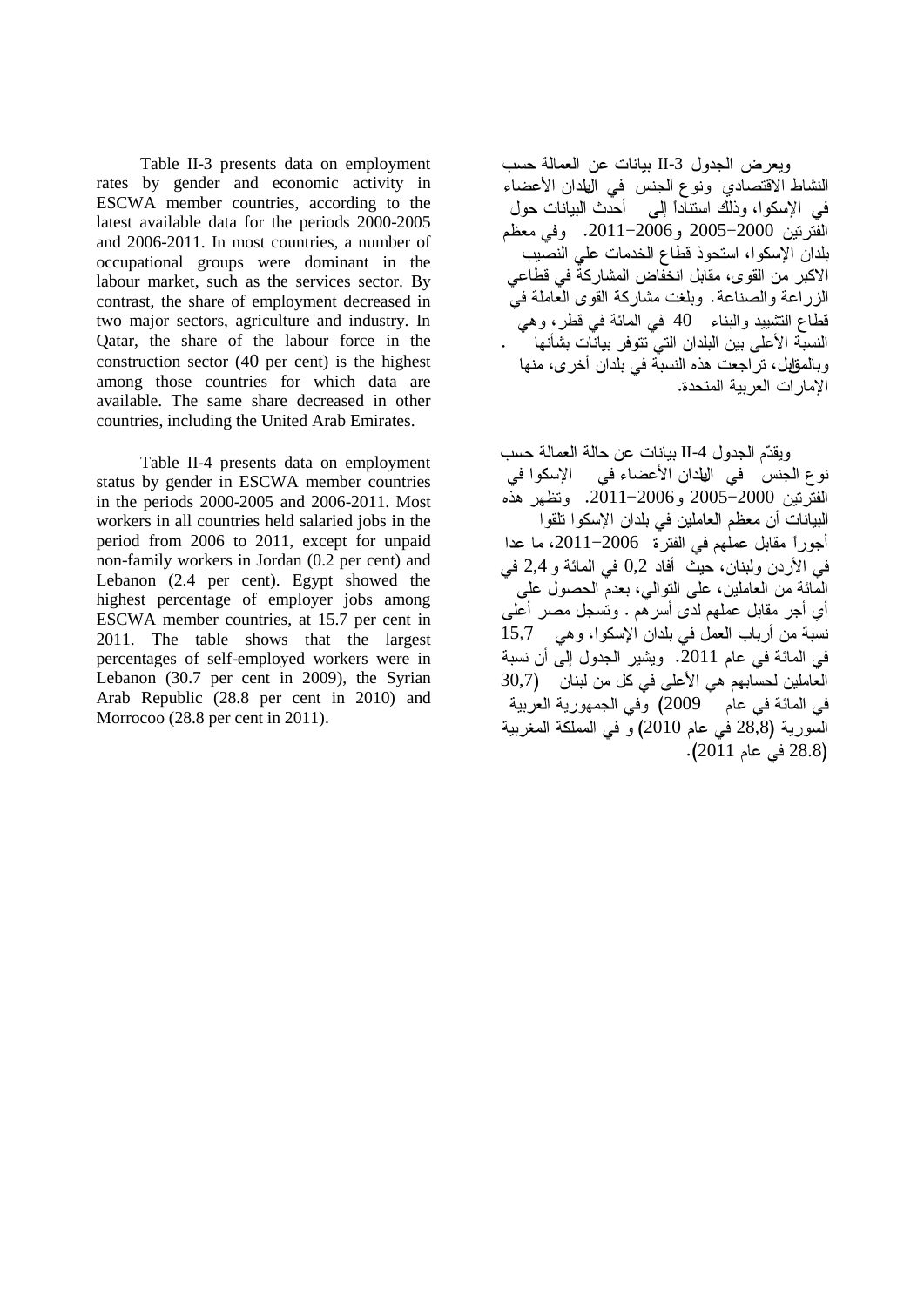Table II-3 presents data on employment rates by gender and economic activity in ESCWA member countries, according to the latest available data for the periods 2000-2005 and 2006-2011. In most countries, a number of occupational groups were dominant in the labour market, such as the services sector. By contrast, the share of employment decreased in two major sectors, agriculture and industry. In Qatar, the share of the labour force in the construction sector (40 per cent) is the highest among those countries for which data are available. The same share decreased in other countries, including the United Arab Emirates.

Table II-4 presents data on employment status by gender in ESCWA member countries in the periods 2000-2005 and 2006-2011. Most workers in all countries held salaried jobs in the period from 2006 to 2011, except for unpaid non-family workers in Jordan (0.2 per cent) and Lebanon (2.4 per cent). Egypt showed the highest percentage of employer jobs among ESCWA member countries, at 15.7 per cent in 2011. The table shows that the largest percentages of self-employed workers were in Lebanon (30.7 per cent in 2009), the Syrian Arab Republic (28.8 per cent in 2010) and Morrocoo (28.8 per cent in 2011).

ويعرض الجدول II-3 بيانات عن العمالة حسب النشاط الاقتصادي ونوع الجنس في الهلدان الأعضاء في الإسكوا، وذلك استناداً إلى أحدث البيانات حول الفُّتر نِين 2000−2005 و2006−2011. وفي معظم بلدان الإسكوا، استحوذ قطاع الخدمات على النصّيب الاكبر من القوى، مقابل انخفاض المشاركة في قطاعي الزراعة والصناعة. وبلغت مشاركة القوى العاملة فيَّ قطاع التشبيد والبناء 40 في المائة في قطر، وهي<br>النسبة الأعلى بين البلدان التي نتوفر بيانات بشأنها وبالمقابل، تراجعت هذه النسبة في بلدان أخرى، منها الإمار ات العر بية المتحدة.

وبقدّم الجدو ل II-4 بيانات عن حالة العمالة حسب نوع الجنس في الهلدان الأعضاء في الإسكو ا في الفترتين 2000–2005. و2005–2011. وتظهر هذه البيانات أن معظم العاملين في بلدان الإسكوا تلقوا أجوراً مقابل عملهم في الفترة 2006–2011، ما عدا  $2,4$  في الأردن ولبنان، حيث أفاد  $0,2$  في المائة و 2,4 في الْمَانَة من العاملين، على النوالي، بعدم الحصول على أي أجر مقابل عملهم لدَّى أسرهُم . وتُسجل مصر أعلـي .<br>نسبة من أرباب العمل في بلدان الإسكوا، وهي 15,7 في المائة في عام 2011. ويشير الجدول إلى أن نسبة العاملين لحسابهم هي الأعلى في كل من لبنان (30,7 في المائة في عام 2009) وفي الجمهورية العربية السورية (28,8 في عام 2010) و في المملكة المغربية (28.8 في عام 2011).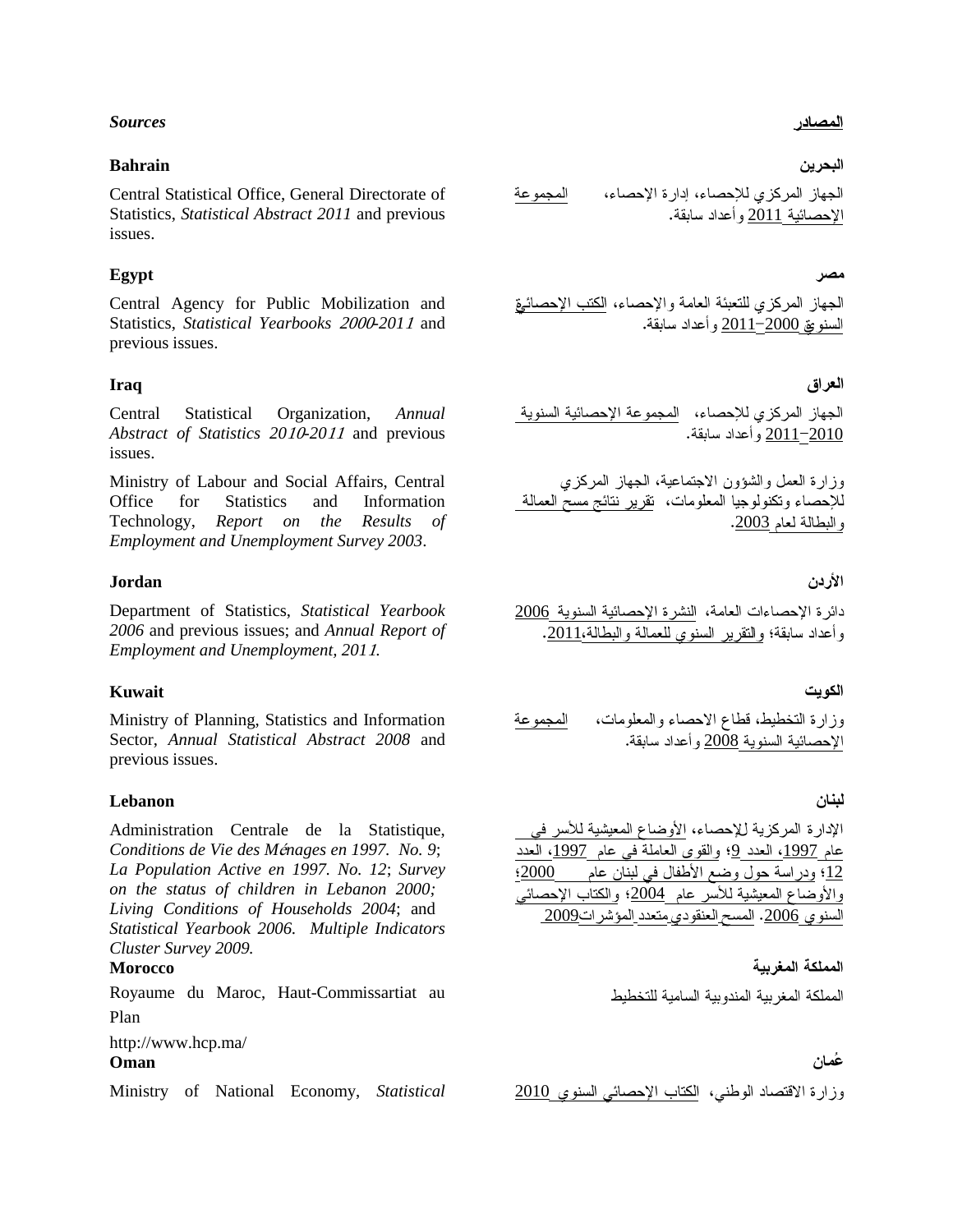#### *Sources*

#### **Bahrain**

Central Statistical Office, General Directorate of Statistics, *Statistical Abstract 2011* and previous issues.

#### **Egypt**

Central Agency for Public Mobilization and Statistics, *Statistical Yearbooks* 2000*-201*<sup>1</sup> and previous issues.

#### **Iraq**

Central Statistical Organization, *Annual Abstract of Statistics 20*10*-20*<sup>11</sup> and previous issues.

Ministry of Labour and Social Affairs, Central Office for Statistics and Information Technology, *Report on the Results of Employment and Unemployment Survey 2003*.

#### **Jordan**

Department of Statistics, *Statistical Yearbook 2006* and previous issues; and *Annual Report of Employment and Unemployment, 201*1.

#### **Kuwait**

Ministry of Planning, Statistics and Information Sector, *Annual Statistical Abstract 2008* and previous issues.

#### **Lebanon**

Administration Centrale de la Statistique, *Conditions de Vie des M*é*nages en 1997. No. 9*; *La Population Active en 1997. No. 12*; *Survey on the status of children in Lebanon 2000; Living Conditions of Households 2004*; and *Statistical Yearbook 2006. Multiple Indicators Cluster Survey 2009.*

#### **Morocco**

Royaume du Maroc, Haut-Commissartiat au Plan

http://www.hcp.ma/

#### **Oman**

Ministry of National Economy, *Statistical* 2010

<u>المصادر</u>

#### البحرين

المجموعة الجهاز المركزي للإحصاء، إدارة الإحصاء، الإحصائية 2011 و أعداد سابقة.

#### مصر

الجهاز المركزي للتعبئة العامة والإحصاء، ا<u>لكتب الإحصائي</u>ق السنويتي <u>2000</u>–2011 وأعداد سابقة.

#### العراق

الجهاز المركزي للإحصاء، المجموعة الإحصائية السنوية 2011 2010

وز ار ة العمل والشؤون الاجتماعية، الجهاز المركز ي للإحصاء ونكنولوجيا المعلومات، نقرير نتائج مسحّ العمالة والبطالة لعام 2003.

#### الأردن

دائر ة الإحصاءات العامة، النشر ة الإحصائية السنوية 2006 وأعداد سابقة؛ والنقرير السنوى للعمالة والبطالة،2011.

#### الكويت

وزارة التخطيط، قطاع الاحصاء والمعلومات، ا<u>لمجموعة</u> الإحصائية السنوية 2008 و أعداد سابقة.

#### لبنان

الإدارة المركزية للإحصاء، الأوضاع المعيشية للأسر في عام 1997، العدد 9؛ والقوى العاملةَ في عام 1997، العدد 1<u>2</u>؛ ودراسة حول وضع الأطفال في لبنان عام 12000؛ والأوضاع المعيشية للأسر عام 2004؛ والكتاب الإحصائي السنو ي 2006. المسح العنقودي متعدد المؤشر ات2009

#### المملكة المغرسة

المملكة المغربية المندوبية السامية للتخطيط

#### غمان